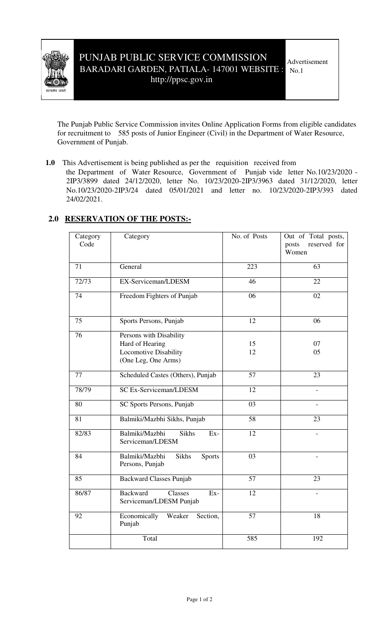

The Punjab Public Service Commission invites Online Application Forms from eligible candidates for recruitment to 585 posts of Junior Engineer (Civil) in the Department of Water Resource, Government of Punjab.

**1.0** This Advertisement is being published as per the requisition received from

the Department of Water Resource, Government of Punjab vide letter No.10/23/2020 - 2IP3/3899 dated 24/12/2020, letter No. 10/23/2020-2IP3/3963 dated 31/12/2020, letter No.10/23/2020-2IP3/24 dated 05/01/2021 and letter no. 10/23/2020-2IP3/393 dated 24/02/2021.

## **2.0 RESERVATION OF THE POSTS:-**

| Category<br>Code | Category                                                     | No. of Posts    | Out of Total posts,<br>reserved for<br>posts<br>Women |
|------------------|--------------------------------------------------------------|-----------------|-------------------------------------------------------|
| 71               | General                                                      | 223             | 63                                                    |
| 72/73            | EX-Serviceman/LDESM                                          | 46              | 22                                                    |
| 74               | Freedom Fighters of Punjab                                   | 06              | 02                                                    |
| 75               | Sports Persons, Punjab                                       | 12              | 06                                                    |
| 76               | Persons with Disability                                      |                 |                                                       |
|                  | Hard of Hearing                                              | 15              | 07                                                    |
|                  | Locomotive Disability                                        | 12              | 05                                                    |
|                  | (One Leg, One Arms)                                          |                 |                                                       |
| 77               | Scheduled Castes (Others), Punjab                            | 57              | 23                                                    |
| 78/79            | <b>SC Ex-Serviceman/LDESM</b>                                | 12              |                                                       |
| 80               | SC Sports Persons, Punjab                                    | $\overline{03}$ |                                                       |
| 81               | Balmiki/Mazbhi Sikhs, Punjab                                 | 58              | 23                                                    |
| 82/83            | Balmiki/Mazbhi<br><b>Sikhs</b><br>Ex-<br>Serviceman/LDESM    | 12              |                                                       |
| 84               | Balmiki/Mazbhi<br>Sikhs<br>Sports<br>Persons, Punjab         | 03              | $\overline{\phantom{a}}$                              |
| 85               | <b>Backward Classes Punjab</b>                               | 57              | 23                                                    |
| 86/87            | <b>Backward</b><br>Classes<br>Ex-<br>Serviceman/LDESM Punjab | 12              |                                                       |
| 92               | Economically<br>Weaker<br>Section,<br>Punjab                 | 57              | 18                                                    |
|                  | Total                                                        | 585             | 192                                                   |